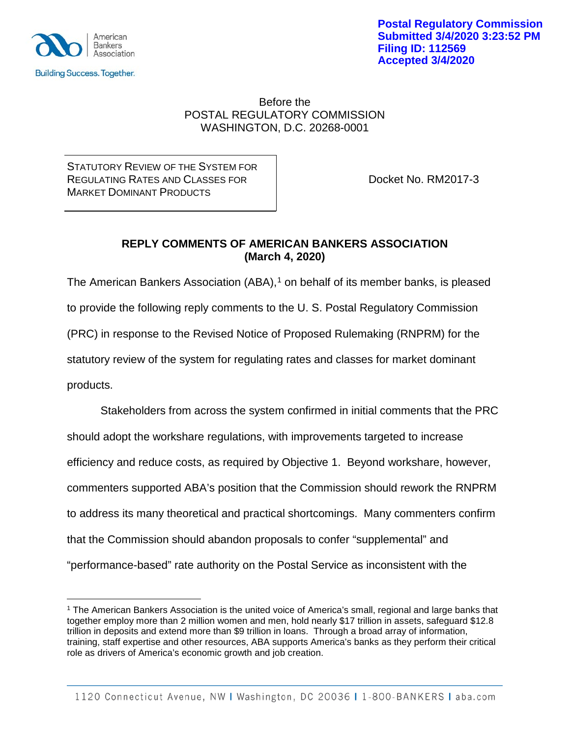

 $\overline{a}$ 

**Postal Regulatory Commission Submitted 3/4/2020 3:23:52 PM Filing ID: 112569 Accepted 3/4/2020**

### Before the POSTAL REGULATORY COMMISSION WASHINGTON, D.C. 20268-0001

STATUTORY REVIEW OF THE SYSTEM FOR REGULATING RATES AND CLASSES FOR **DOCKET NO. RM2017-3** MARKET DOMINANT PRODUCTS

## **REPLY COMMENTS OF AMERICAN BANKERS ASSOCIATION (March 4, 2020)**

The American Bankers Association (ABA), [1](#page-0-0) on behalf of its member banks, is pleased to provide the following reply comments to the U. S. Postal Regulatory Commission (PRC) in response to the Revised Notice of Proposed Rulemaking (RNPRM) for the statutory review of the system for regulating rates and classes for market dominant products.

Stakeholders from across the system confirmed in initial comments that the PRC should adopt the workshare regulations, with improvements targeted to increase efficiency and reduce costs, as required by Objective 1. Beyond workshare, however, commenters supported ABA's position that the Commission should rework the RNPRM to address its many theoretical and practical shortcomings. Many commenters confirm that the Commission should abandon proposals to confer "supplemental" and "performance-based" rate authority on the Postal Service as inconsistent with the

<span id="page-0-0"></span><sup>1</sup> The American Bankers Association is the united voice of America's small, regional and large banks that together employ more than 2 million women and men, hold nearly \$17 trillion in assets, safeguard \$12.8 trillion in deposits and extend more than \$9 trillion in loans. Through a broad array of information, training, staff expertise and other resources, ABA supports America's banks as they perform their critical role as drivers of America's economic growth and job creation.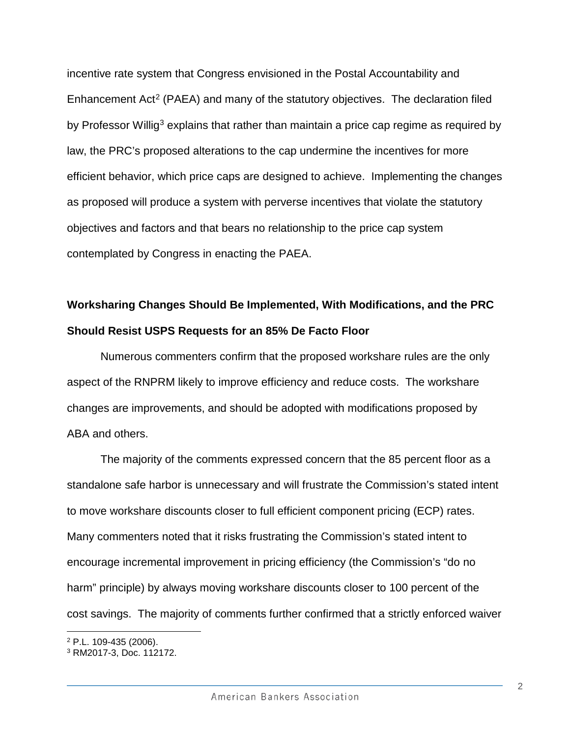incentive rate system that Congress envisioned in the Postal Accountability and Enhancement Act<sup>[2](#page-1-0)</sup> (PAEA) and many of the statutory objectives. The declaration filed by Professor Willig<sup>[3](#page-1-1)</sup> explains that rather than maintain a price cap regime as required by law, the PRC's proposed alterations to the cap undermine the incentives for more efficient behavior, which price caps are designed to achieve. Implementing the changes as proposed will produce a system with perverse incentives that violate the statutory objectives and factors and that bears no relationship to the price cap system contemplated by Congress in enacting the PAEA.

# **Worksharing Changes Should Be Implemented, With Modifications, and the PRC Should Resist USPS Requests for an 85% De Facto Floor**

Numerous commenters confirm that the proposed workshare rules are the only aspect of the RNPRM likely to improve efficiency and reduce costs. The workshare changes are improvements, and should be adopted with modifications proposed by ABA and others.

The majority of the comments expressed concern that the 85 percent floor as a standalone safe harbor is unnecessary and will frustrate the Commission's stated intent to move workshare discounts closer to full efficient component pricing (ECP) rates. Many commenters noted that it risks frustrating the Commission's stated intent to encourage incremental improvement in pricing efficiency (the Commission's "do no harm" principle) by always moving workshare discounts closer to 100 percent of the cost savings. The majority of comments further confirmed that a strictly enforced waiver

<span id="page-1-0"></span> $\overline{a}$ <sup>2</sup> P.L. 109-435 (2006).

2

<span id="page-1-1"></span><sup>3</sup> RM2017-3, Doc. 112172.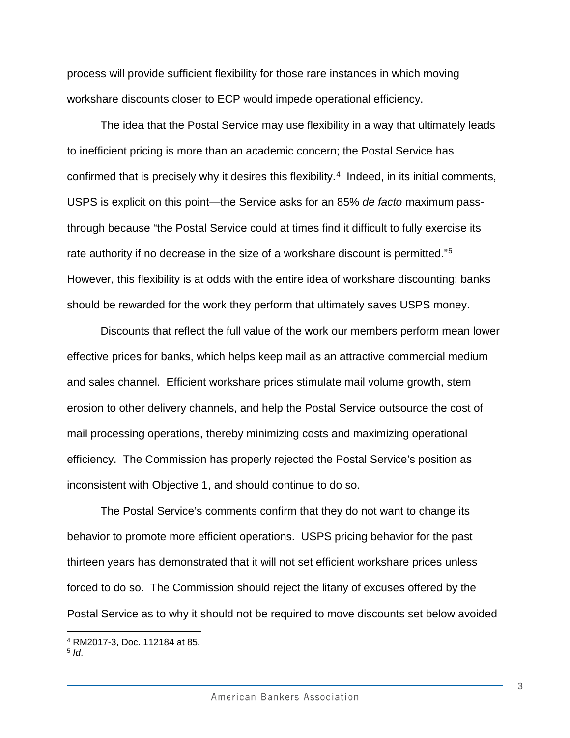process will provide sufficient flexibility for those rare instances in which moving workshare discounts closer to ECP would impede operational efficiency.

The idea that the Postal Service may use flexibility in a way that ultimately leads to inefficient pricing is more than an academic concern; the Postal Service has confirmed that is precisely why it desires this flexibility. [4](#page-2-0) Indeed, in its initial comments, USPS is explicit on this point—the Service asks for an 85% *de facto* maximum passthrough because "the Postal Service could at times find it difficult to fully exercise its rate authority if no decrease in the size of a workshare discount is permitted."[5](#page-2-1) However, this flexibility is at odds with the entire idea of workshare discounting: banks should be rewarded for the work they perform that ultimately saves USPS money.

Discounts that reflect the full value of the work our members perform mean lower effective prices for banks, which helps keep mail as an attractive commercial medium and sales channel. Efficient workshare prices stimulate mail volume growth, stem erosion to other delivery channels, and help the Postal Service outsource the cost of mail processing operations, thereby minimizing costs and maximizing operational efficiency. The Commission has properly rejected the Postal Service's position as inconsistent with Objective 1, and should continue to do so.

The Postal Service's comments confirm that they do not want to change its behavior to promote more efficient operations. USPS pricing behavior for the past thirteen years has demonstrated that it will not set efficient workshare prices unless forced to do so.The Commission should reject the litany of excuses offered by the Postal Service as to why it should not be required to move discounts set below avoided

 $\overline{a}$ 

<span id="page-2-0"></span><sup>4</sup> RM2017-3, Doc. 112184 at 85.

<span id="page-2-1"></span><sup>5</sup> *Id*.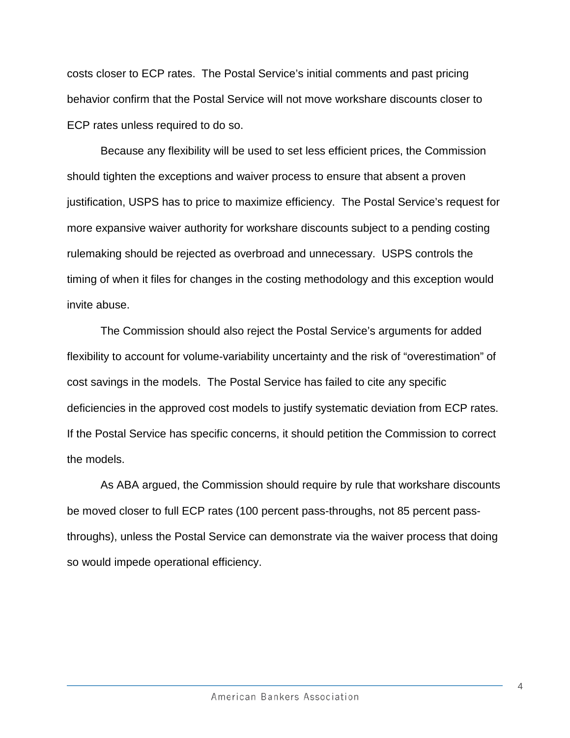costs closer to ECP rates. The Postal Service's initial comments and past pricing behavior confirm that the Postal Service will not move workshare discounts closer to ECP rates unless required to do so.

Because any flexibility will be used to set less efficient prices, the Commission should tighten the exceptions and waiver process to ensure that absent a proven justification, USPS has to price to maximize efficiency. The Postal Service's request for more expansive waiver authority for workshare discounts subject to a pending costing rulemaking should be rejected as overbroad and unnecessary. USPS controls the timing of when it files for changes in the costing methodology and this exception would invite abuse.

The Commission should also reject the Postal Service's arguments for added flexibility to account for volume-variability uncertainty and the risk of "overestimation" of cost savings in the models. The Postal Service has failed to cite any specific deficiencies in the approved cost models to justify systematic deviation from ECP rates. If the Postal Service has specific concerns, it should petition the Commission to correct the models.

As ABA argued, the Commission should require by rule that workshare discounts be moved closer to full ECP rates (100 percent pass-throughs, not 85 percent passthroughs), unless the Postal Service can demonstrate via the waiver process that doing so would impede operational efficiency.

4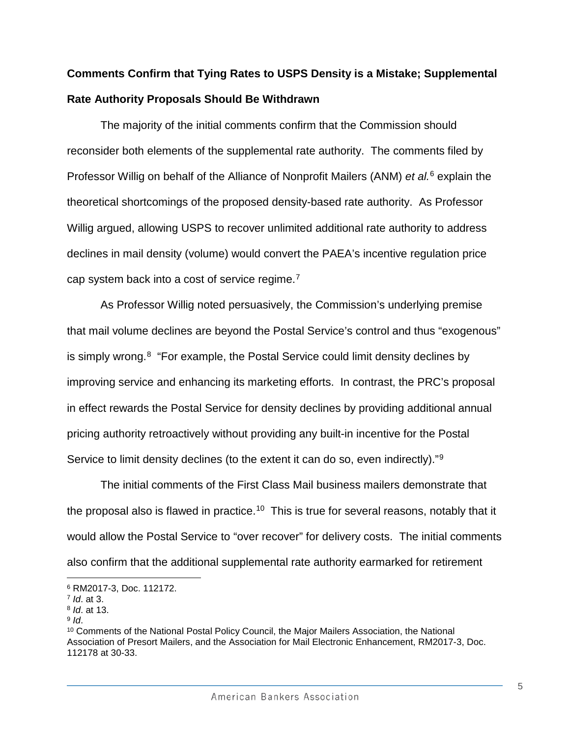# **Comments Confirm that Tying Rates to USPS Density is a Mistake; Supplemental Rate Authority Proposals Should Be Withdrawn**

The majority of the initial comments confirm that the Commission should reconsider both elements of the supplemental rate authority. The comments filed by Professor Willig on behalf of the Alliance of Nonprofit Mailers (ANM) *et al.* [6](#page-4-0) explain the theoretical shortcomings of the proposed density-based rate authority. As Professor Willig argued, allowing USPS to recover unlimited additional rate authority to address declines in mail density (volume) would convert the PAEA's incentive regulation price cap system back into a cost of service regime.<sup>[7](#page-4-1)</sup>

As Professor Willig noted persuasively, the Commission's underlying premise that mail volume declines are beyond the Postal Service's control and thus "exogenous" is simply wrong.[8](#page-4-2) "For example, the Postal Service could limit density declines by improving service and enhancing its marketing efforts. In contrast, the PRC's proposal in effect rewards the Postal Service for density declines by providing additional annual pricing authority retroactively without providing any built-in incentive for the Postal Service to limit density declines (to the extent it can do so, even indirectly)."<sup>9</sup>

The initial comments of the First Class Mail business mailers demonstrate that the proposal also is flawed in practice.<sup>[10](#page-4-4)</sup> This is true for several reasons, notably that it would allow the Postal Service to "over recover" for delivery costs. The initial comments also confirm that the additional supplemental rate authority earmarked for retirement

 $\overline{a}$ 

<span id="page-4-0"></span><sup>6</sup> RM2017-3, Doc. 112172.

<span id="page-4-1"></span><sup>7</sup> *Id*. at 3.

<span id="page-4-2"></span><sup>8</sup> *Id*. at 13.

<span id="page-4-4"></span><span id="page-4-3"></span><sup>&</sup>lt;sup>9</sup> *Id.*<br><sup>10</sup> Comments of the National Postal Policy Council, the Major Mailers Association, the National Association of Presort Mailers, and the Association for Mail Electronic Enhancement, RM2017-3, Doc. 112178 at 30-33.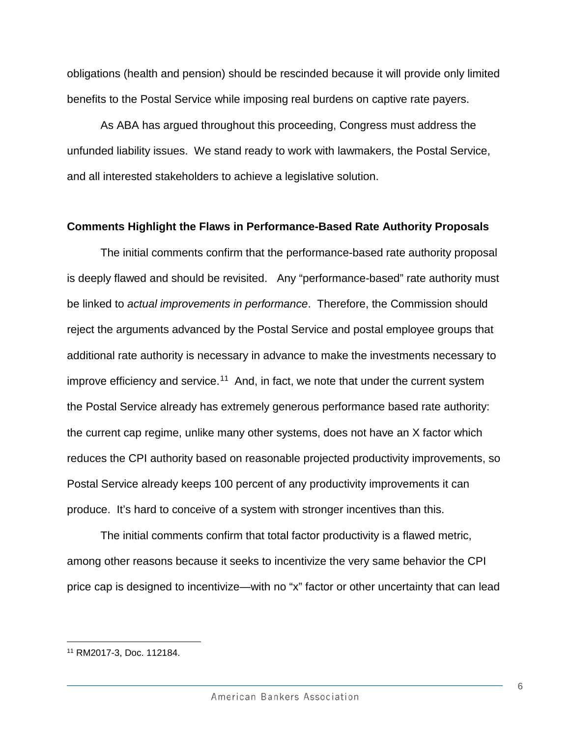obligations (health and pension) should be rescinded because it will provide only limited benefits to the Postal Service while imposing real burdens on captive rate payers.

As ABA has argued throughout this proceeding, Congress must address the unfunded liability issues. We stand ready to work with lawmakers, the Postal Service, and all interested stakeholders to achieve a legislative solution.

#### **Comments Highlight the Flaws in Performance-Based Rate Authority Proposals**

The initial comments confirm that the performance-based rate authority proposal is deeply flawed and should be revisited. Any "performance-based" rate authority must be linked to *actual improvements in performance*. Therefore, the Commission should reject the arguments advanced by the Postal Service and postal employee groups that additional rate authority is necessary in advance to make the investments necessary to improve efficiency and service.<sup>11</sup> And, in fact, we note that under the current system the Postal Service already has extremely generous performance based rate authority: the current cap regime, unlike many other systems, does not have an X factor which reduces the CPI authority based on reasonable projected productivity improvements, so Postal Service already keeps 100 percent of any productivity improvements it can produce. It's hard to conceive of a system with stronger incentives than this.

The initial comments confirm that total factor productivity is a flawed metric, among other reasons because it seeks to incentivize the very same behavior the CPI price cap is designed to incentivize—with no "x" factor or other uncertainty that can lead

 $\overline{a}$ 

<span id="page-5-0"></span><sup>11</sup> RM2017-3, Doc. 112184.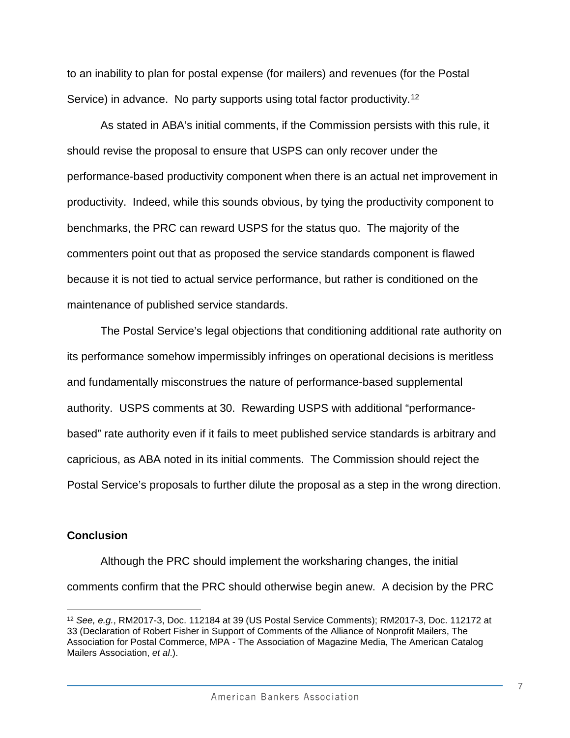to an inability to plan for postal expense (for mailers) and revenues (for the Postal Service) in advance. No party supports using total factor productivity.<sup>[12](#page-6-0)</sup>

As stated in ABA's initial comments, if the Commission persists with this rule, it should revise the proposal to ensure that USPS can only recover under the performance-based productivity component when there is an actual net improvement in productivity. Indeed, while this sounds obvious, by tying the productivity component to benchmarks, the PRC can reward USPS for the status quo. The majority of the commenters point out that as proposed the service standards component is flawed because it is not tied to actual service performance, but rather is conditioned on the maintenance of published service standards.

The Postal Service's legal objections that conditioning additional rate authority on its performance somehow impermissibly infringes on operational decisions is meritless and fundamentally misconstrues the nature of performance-based supplemental authority. USPS comments at 30. Rewarding USPS with additional "performancebased" rate authority even if it fails to meet published service standards is arbitrary and capricious, as ABA noted in its initial comments. The Commission should reject the Postal Service's proposals to further dilute the proposal as a step in the wrong direction.

#### **Conclusion**

 $\overline{a}$ 

Although the PRC should implement the worksharing changes, the initial comments confirm that the PRC should otherwise begin anew. A decision by the PRC

<span id="page-6-0"></span><sup>12</sup> *See, e.g.*, RM2017-3, Doc. 112184 at 39 (US Postal Service Comments); RM2017-3, Doc. 112172 at 33 (Declaration of Robert Fisher in Support of Comments of the Alliance of Nonprofit Mailers, The Association for Postal Commerce, MPA - The Association of Magazine Media, The American Catalog Mailers Association, *et al*.).